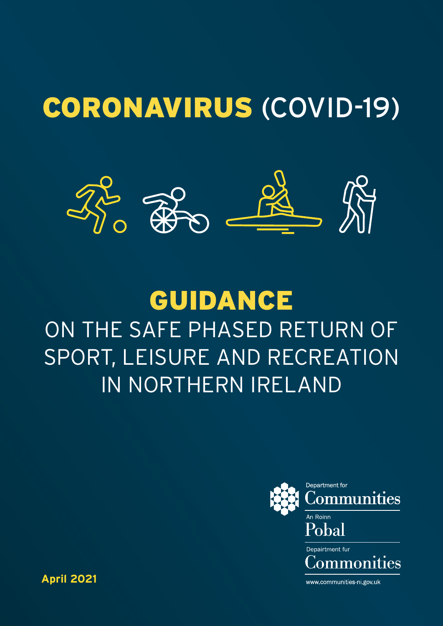## CORONAVIRUS (COVID-19)



### GUIDANCE ON THE SAFE PHASED RETURN OF SPORT, LEISURE AND RECREATION IN NORTHERN IRELAND



**April 2021**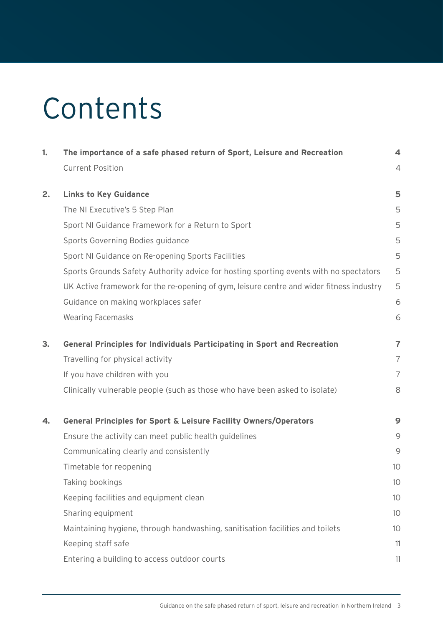## Contents

| 1. | The importance of a safe phased return of Sport, Leisure and Recreation                  | 4              |
|----|------------------------------------------------------------------------------------------|----------------|
|    | <b>Current Position</b>                                                                  | $\overline{4}$ |
| 2. | <b>Links to Key Guidance</b>                                                             | 5              |
|    | The NI Executive's 5 Step Plan                                                           | 5              |
|    | Sport NI Guidance Framework for a Return to Sport                                        | 5              |
|    | Sports Governing Bodies guidance                                                         | 5              |
|    | Sport NI Guidance on Re-opening Sports Facilities                                        | 5              |
|    | Sports Grounds Safety Authority advice for hosting sporting events with no spectators    | 5              |
|    | UK Active framework for the re-opening of gym, leisure centre and wider fitness industry | 5              |
|    | Guidance on making workplaces safer                                                      | 6              |
|    | <b>Wearing Facemasks</b>                                                                 | 6              |
| 3. | <b>General Principles for Individuals Participating in Sport and Recreation</b>          | $\overline{7}$ |
|    | Travelling for physical activity                                                         | $\overline{7}$ |
|    | If you have children with you                                                            | $\overline{7}$ |
|    | Clinically vulnerable people (such as those who have been asked to isolate)              | 8              |
| 4. | <b>General Principles for Sport &amp; Leisure Facility Owners/Operators</b>              | 9              |
|    | Ensure the activity can meet public health guidelines                                    | 9              |
|    | Communicating clearly and consistently                                                   | 9              |
|    | Timetable for reopening                                                                  | 10             |
|    | Taking bookings                                                                          | 10             |
|    | Keeping facilities and equipment clean                                                   | 10             |
|    | Sharing equipment                                                                        | 10             |
|    | Maintaining hygiene, through handwashing, sanitisation facilities and toilets            | 10             |
|    | Keeping staff safe                                                                       | 11             |
|    | Entering a building to access outdoor courts                                             | 11             |
|    |                                                                                          |                |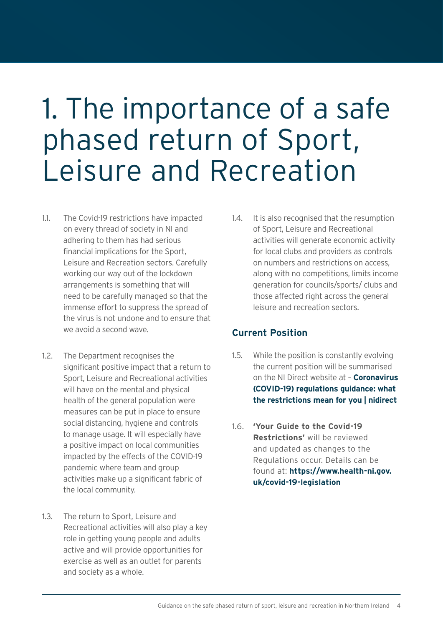## <span id="page-3-0"></span>1. The importance of a safe phased return of Sport, Leisure and Recreation

- 1.1. The Covid-19 restrictions have impacted on every thread of society in NI and adhering to them has had serious financial implications for the Sport, Leisure and Recreation sectors. Carefully working our way out of the lockdown arrangements is something that will need to be carefully managed so that the immense effort to suppress the spread of the virus is not undone and to ensure that we avoid a second wave.
- 1.2. The Department recognises the significant positive impact that a return to Sport, Leisure and Recreational activities will have on the mental and physical health of the general population were measures can be put in place to ensure social distancing, hygiene and controls to manage usage. It will especially have a positive impact on local communities impacted by the effects of the COVID-19 pandemic where team and group activities make up a significant fabric of the local community.
- 1.3. The return to Sport, Leisure and Recreational activities will also play a key role in getting young people and adults active and will provide opportunities for exercise as well as an outlet for parents and society as a whole.

1.4. It is also recognised that the resumption of Sport, Leisure and Recreational activities will generate economic activity for local clubs and providers as controls on numbers and restrictions on access, along with no competitions, limits income generation for councils/sports/ clubs and those affected right across the general leisure and recreation sectors.

### **Current Position**

- 1.5. While the position is constantly evolving the current position will be summarised on the NI Direct website at – **[Coronavirus](https://www.nidirect.gov.uk/articles/coronavirus-covid-19-regulations-guidance-what-restrictions-mean-you#toc-13)  [\(COVID-19\) regulations guidance: what](https://www.nidirect.gov.uk/articles/coronavirus-covid-19-regulations-guidance-what-restrictions-mean-you#toc-13)  [the restrictions mean for you | nidirect](https://www.nidirect.gov.uk/articles/coronavirus-covid-19-regulations-guidance-what-restrictions-mean-you#toc-13)**
- 1.6. **'Your Guide to the Covid-19 Restrictions'** will be reviewed and updated as changes to the Regulations occur. Details can be found at: **[https://www.health-ni.gov.](https://www.health-ni.gov.uk/covid-19-legislation) [uk/covid-19-legislation](https://www.health-ni.gov.uk/covid-19-legislation)**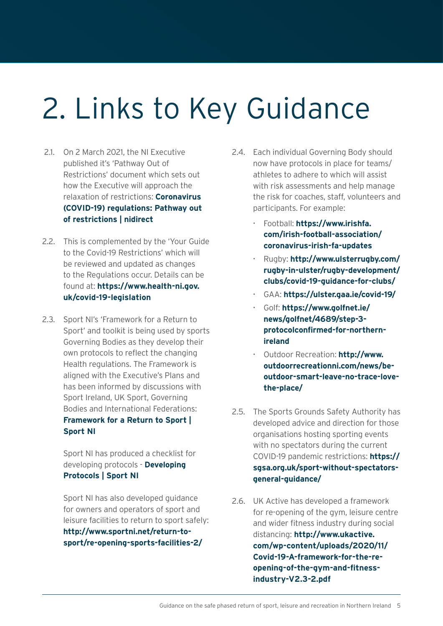# <span id="page-4-0"></span>2. Links to Key Guidance

- 2.1. On 2 March 2021, the NI Executive published it's 'Pathway Out of Restrictions' document which sets out how the Executive will approach the relaxation of restrictions: **[Coronavirus](https://www.nidirect.gov.uk/articles/coronavirus-covid-19-regulations-pathway-out-restrictions)  [\(COVID-19\) regulations: Pathway out](https://www.nidirect.gov.uk/articles/coronavirus-covid-19-regulations-pathway-out-restrictions)  [of restrictions | nidirect](https://www.nidirect.gov.uk/articles/coronavirus-covid-19-regulations-pathway-out-restrictions)**
- 2.2. This is complemented by the 'Your Guide to the Covid-19 Restrictions' which will be reviewed and updated as changes to the Regulations occur. Details can be found at: **[https://www.health-ni.gov.](https://www.health-ni.gov.uk/covid-19-legislation) [uk/covid-19-legislation](https://www.health-ni.gov.uk/covid-19-legislation)**
- 2.3. Sport NI's 'Framework for a Return to Sport' and toolkit is being used by sports Governing Bodies as they develop their own protocols to reflect the changing Health regulations. The Framework is aligned with the Executive's Plans and has been informed by discussions with Sport Ireland, UK Sport, Governing Bodies and International Federations: **[Framework for a Return to Sport |](http://www.sportni.net/return-to-sport/framework-for-a-return-to-sport/)  [Sport NI](http://www.sportni.net/return-to-sport/framework-for-a-return-to-sport/)**

 Sport NI has produced a checklist for developing protocols - **[Developing](http://www.sportni.net/return-to-sport/developing-protocols/)  [Protocols | Sport NI](http://www.sportni.net/return-to-sport/developing-protocols/)**

 Sport NI has also developed guidance for owners and operators of sport and leisure facilities to return to sport safely: **[http://www.sportni.net/return-to](http://www.sportni.net/return-to-sport/re-opening-sports-facilities-2/)[sport/re-opening-sports-facilities-2/](http://www.sportni.net/return-to-sport/re-opening-sports-facilities-2/)**

- 2.4. Each individual Governing Body should now have protocols in place for teams/ athletes to adhere to which will assist with risk assessments and help manage the risk for coaches, staff, volunteers and participants. For example:
	- Football: **[https://www.irishfa.](https://www.irishfa.com/irish-football-association/coronavirus-irish-fa-updates) [com/irish-football-association/](https://www.irishfa.com/irish-football-association/coronavirus-irish-fa-updates) [coronavirus-irish-fa-updates](https://www.irishfa.com/irish-football-association/coronavirus-irish-fa-updates)**
	- Rugby: **[http://www.ulsterrugby.com/](http://www.ulsterrugby.com/rugby-in-ulster/rugby-development/clubs/covid-19-guidance-for-clubs/) [rugby-in-ulster/rugby-development/](http://www.ulsterrugby.com/rugby-in-ulster/rugby-development/clubs/covid-19-guidance-for-clubs/) [clubs/covid-19-guidance-for-clubs/](http://www.ulsterrugby.com/rugby-in-ulster/rugby-development/clubs/covid-19-guidance-for-clubs/)**
	- GAA: **<https://ulster.gaa.ie/covid-19/>**
	- Golf: **[https://www.golfnet.ie/](https://www.golfnet.ie/news/golfnet/4689/step-3-protocolconfirmed-for-northern-ireland) [news/golfnet/4689/step-3](https://www.golfnet.ie/news/golfnet/4689/step-3-protocolconfirmed-for-northern-ireland) [protocolconfirmed-for-northern](https://www.golfnet.ie/news/golfnet/4689/step-3-protocolconfirmed-for-northern-ireland)[ireland](https://www.golfnet.ie/news/golfnet/4689/step-3-protocolconfirmed-for-northern-ireland)**
	- Outdoor Recreation: **[http://www.](http://www.outdoorrecreationni.com/news/be-outdoor-smart-leave-no-trace-love-the-place/) [outdoorrecreationni.com/news/be](http://www.outdoorrecreationni.com/news/be-outdoor-smart-leave-no-trace-love-the-place/)[outdoor-smart-leave-no-trace-love](http://www.outdoorrecreationni.com/news/be-outdoor-smart-leave-no-trace-love-the-place/)[the-place/](http://www.outdoorrecreationni.com/news/be-outdoor-smart-leave-no-trace-love-the-place/)**
- 2.5. The Sports Grounds Safety Authority has developed advice and direction for those organisations hosting sporting events with no spectators during the current COVID-19 pandemic restrictions: **[https://](https://sgsa.org.uk/sport-without-spectators-general-guidance/) [sgsa.org.uk/sport-without-spectators](https://sgsa.org.uk/sport-without-spectators-general-guidance/)[general-guidance/](https://sgsa.org.uk/sport-without-spectators-general-guidance/)**
- 2.6. UK Active has developed a framework for re-opening of the gym, leisure centre and wider fitness industry during social distancing: **[http://www.ukactive.](http:// www.publichealth.hscni.net/news/covid-19-coronavirus. ) [com/wp-content/uploads/2020/11/](http:// www.publichealth.hscni.net/news/covid-19-coronavirus. ) [Covid-19-A-framework-for-the-re](http:// www.publichealth.hscni.net/news/covid-19-coronavirus. )[opening-of-the-gym-and-fitness](http:// www.publichealth.hscni.net/news/covid-19-coronavirus. )[industry-V2.3-2.pdf](http:// www.publichealth.hscni.net/news/covid-19-coronavirus. )**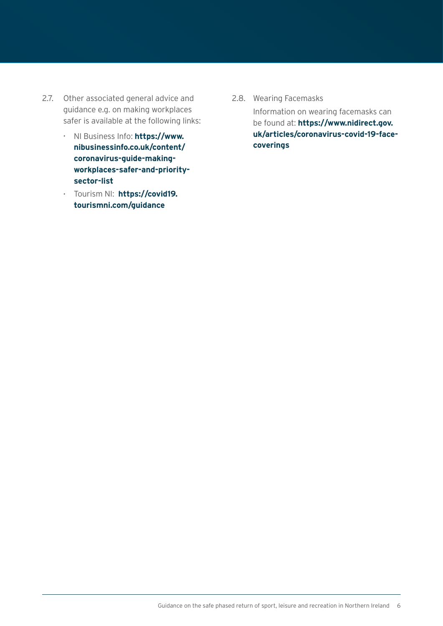- <span id="page-5-0"></span>2.7. Other associated general advice and guidance e.g. on making workplaces safer is available at the following links:
	- NI Business Info: **[https://www.](https://www.nibusinessinfo.co.uk/content/coronavirus-guide-making-workplaces-safer-and-priority-sector-list) [nibusinessinfo.co.uk/content/](https://www.nibusinessinfo.co.uk/content/coronavirus-guide-making-workplaces-safer-and-priority-sector-list) [coronavirus-guide-making](https://www.nibusinessinfo.co.uk/content/coronavirus-guide-making-workplaces-safer-and-priority-sector-list)[workplaces-safer-and-priority](https://www.nibusinessinfo.co.uk/content/coronavirus-guide-making-workplaces-safer-and-priority-sector-list)[sector-list](https://www.nibusinessinfo.co.uk/content/coronavirus-guide-making-workplaces-safer-and-priority-sector-list)**
	- Tourism NI: **[https://covid19.](https://www.tourismni.com/covid-19/practical-guidance-for-working-safely-during-covid-19/guidance-for-businesses-within-the-visitor-economy/) [tourismni.com/guidance](https://www.tourismni.com/covid-19/practical-guidance-for-working-safely-during-covid-19/guidance-for-businesses-within-the-visitor-economy/)**

2.8. Wearing Facemasks

 Information on wearing facemasks can be found at: **[https://www.nidirect.gov.](https://www.nidirect.gov.uk/articles/coronavirus-covid-19-face-coverings) [uk/articles/coronavirus-covid-19-face](https://www.nidirect.gov.uk/articles/coronavirus-covid-19-face-coverings)[coverings](https://www.nidirect.gov.uk/articles/coronavirus-covid-19-face-coverings)**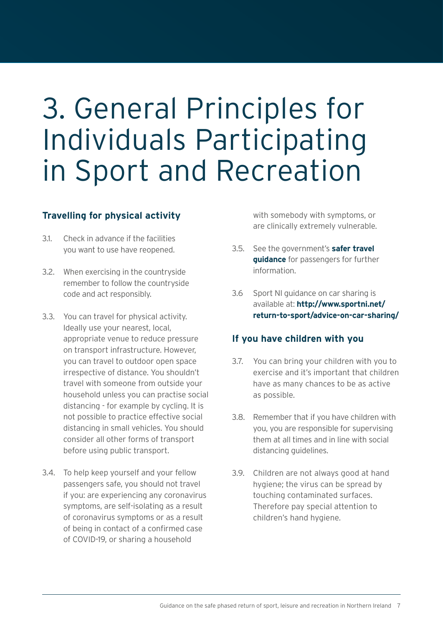## <span id="page-6-0"></span>3. General Principles for Individuals Participating in Sport and Recreation

### **Travelling for physical activity**

- 3.1. Check in advance if the facilities you want to use have reopened.
- 3.2. When exercising in the countryside remember to follow the countryside code and act responsibly.
- 3.3. You can travel for physical activity. Ideally use your nearest, local, appropriate venue to reduce pressure on transport infrastructure. However, you can travel to outdoor open space irrespective of distance. You shouldn't travel with someone from outside your household unless you can practise social distancing - for example by cycling. It is not possible to practice effective social distancing in small vehicles. You should consider all other forms of transport before using public transport.
- 3.4. To help keep yourself and your fellow passengers safe, you should not travel if you: are experiencing any coronavirus symptoms, are self-isolating as a result of coronavirus symptoms or as a result of being in contact of a confirmed case of COVID-19, or sharing a household

with somebody with symptoms, or are clinically extremely vulnerable.

- 3.5. See the government's **[safer travel](https://www.gov.uk/guidance/coronavirus-covid-19-safer-travel-guidance-for-passengers)  [guidance](https://www.gov.uk/guidance/coronavirus-covid-19-safer-travel-guidance-for-passengers)** for passengers for further information.
- 3.6 Sport NI guidance on car sharing is available at: **[http://www.sportni.net/](http://www.sportni.net/return-to-sport/advice-on-car-sharing/) [return-to-sport/advice-on-car-sharing/](http://www.sportni.net/return-to-sport/advice-on-car-sharing/)**

### **If you have children with you**

- 3.7. You can bring your children with you to exercise and it's important that children have as many chances to be as active as possible.
- 3.8. Remember that if you have children with you, you are responsible for supervising them at all times and in line with social distancing guidelines.
- 3.9. Children are not always good at hand hygiene; the virus can be spread by touching contaminated surfaces. Therefore pay special attention to children's hand hygiene.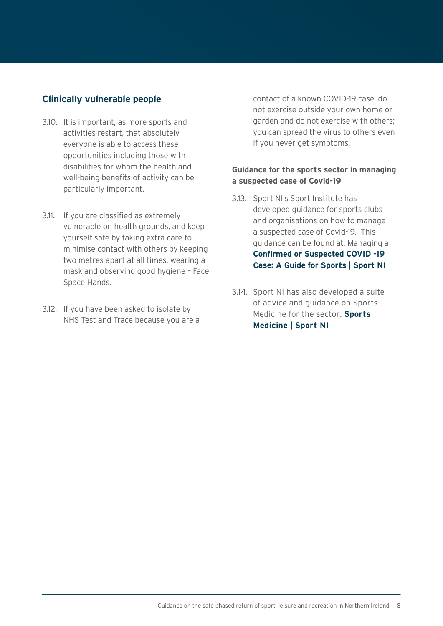### **Clinically vulnerable people**

- 3.10. It is important, as more sports and activities restart, that absolutely everyone is able to access these opportunities including those with disabilities for whom the health and well-being benefits of activity can be particularly important.
- 3.11. If you are classified as extremely vulnerable on health grounds, and keep yourself safe by taking extra care to minimise contact with others by keeping two metres apart at all times, wearing a mask and observing good hygiene – Face Space Hands.
- 3.12. If you have been asked to isolate by NHS Test and Trace because you are a

contact of a known COVID-19 case, do not exercise outside your own home or garden and do not exercise with others; you can spread the virus to others even if you never get symptoms.

#### **Guidance for the sports sector in managing a suspected case of Covid-19**

- 3.13. Sport NI's Sport Institute has developed guidance for sports clubs and organisations on how to manage a suspected case of Covid-19. This guidance can be found at: Managing a **[Confirmed or Suspected COVID -19](http://www.sportni.net/return-to-sport/sports-medicine/managing-a-confirmed-or-suspected-covid-19-case-a-guide-for-sports/)  [Case: A Guide for Sports | Sport NI](http://www.sportni.net/return-to-sport/sports-medicine/managing-a-confirmed-or-suspected-covid-19-case-a-guide-for-sports/)**
- 3.14. Sport NI has also developed a suite of advice and guidance on Sports Medicine for the sector: **[Sports](http://www.sportni.net/return-to-sport/sports-medicine/)  [Medicine | Sport NI](http://www.sportni.net/return-to-sport/sports-medicine/)**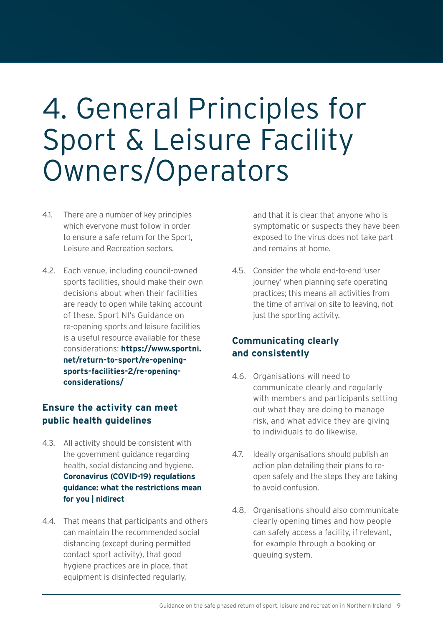### <span id="page-8-0"></span>4. General Principles for Sport & Leisure Facility Owners/Operators

- 4.1. There are a number of key principles which everyone must follow in order to ensure a safe return for the Sport, Leisure and Recreation sectors.
- 4.2. Each venue, including council-owned sports facilities, should make their own decisions about when their facilities are ready to open while taking account of these. Sport NI's Guidance on re-opening sports and leisure facilities is a useful resource available for these considerations: **https://[www.sportni.](http://www.sportni.net/return-to-sport/re-opening-sports-facilities-2/re-opening-considerations/) [net/return-to-sport/re-opening](http://www.sportni.net/return-to-sport/re-opening-sports-facilities-2/re-opening-considerations/)[sports-facilities-2/re-opening](http://www.sportni.net/return-to-sport/re-opening-sports-facilities-2/re-opening-considerations/)[considerations/](http://www.sportni.net/return-to-sport/re-opening-sports-facilities-2/re-opening-considerations/)**

### **Ensure the activity can meet public health guidelines**

- 4.3. All activity should be consistent with the government guidance regarding health, social distancing and hygiene. **[Coronavirus \(COVID-19\) regulations](https://www.nidirect.gov.uk/articles/coronavirus-covid-19-regulations-guidance-what-restrictions-mean-you#toc-13)  [guidance: what the restrictions mean](https://www.nidirect.gov.uk/articles/coronavirus-covid-19-regulations-guidance-what-restrictions-mean-you#toc-13)  [for you | nidirect](https://www.nidirect.gov.uk/articles/coronavirus-covid-19-regulations-guidance-what-restrictions-mean-you#toc-13)**
- 4.4. That means that participants and others can maintain the recommended social distancing (except during permitted contact sport activity), that good hygiene practices are in place, that equipment is disinfected regularly,

and that it is clear that anyone who is symptomatic or suspects they have been exposed to the virus does not take part and remains at home.

4.5. Consider the whole end-to-end 'user journey' when planning safe operating practices; this means all activities from the time of arrival on site to leaving, not just the sporting activity.

### **Communicating clearly and consistently**

- 4.6. Organisations will need to communicate clearly and regularly with members and participants setting out what they are doing to manage risk, and what advice they are giving to individuals to do likewise.
- 4.7. Ideally organisations should publish an action plan detailing their plans to reopen safely and the steps they are taking to avoid confusion.
- 4.8. Organisations should also communicate clearly opening times and how people can safely access a facility, if relevant, for example through a booking or queuing system.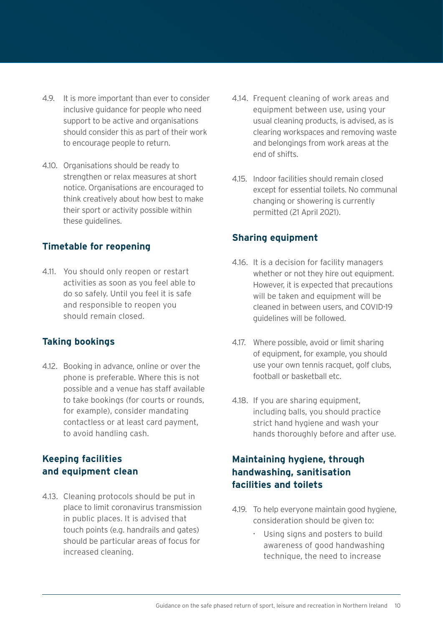- <span id="page-9-0"></span>4.9. It is more important than ever to consider inclusive guidance for people who need support to be active and organisations should consider this as part of their work to encourage people to return.
- 4.10. Organisations should be ready to strengthen or relax measures at short notice. Organisations are encouraged to think creatively about how best to make their sport or activity possible within these guidelines.

### **Timetable for reopening**

4.11. You should only reopen or restart activities as soon as you feel able to do so safely. Until you feel it is safe and responsible to reopen you should remain closed.

### **Taking bookings**

4.12. Booking in advance, online or over the phone is preferable. Where this is not possible and a venue has staff available to take bookings (for courts or rounds, for example), consider mandating contactless or at least card payment, to avoid handling cash.

### **Keeping facilities and equipment clean**

4.13. Cleaning protocols should be put in place to limit coronavirus transmission in public places. It is advised that touch points (e.g. handrails and gates) should be particular areas of focus for increased cleaning.

- 4.14. Frequent cleaning of work areas and equipment between use, using your usual cleaning products, is advised, as is clearing workspaces and removing waste and belongings from work areas at the end of shifts.
- 4.15. Indoor facilities should remain closed except for essential toilets. No communal changing or showering is currently permitted (21 April 2021).

### **Sharing equipment**

- 4.16. It is a decision for facility managers whether or not they hire out equipment. However, it is expected that precautions will be taken and equipment will be cleaned in between users, and COVID-19 guidelines will be followed.
- 4.17. Where possible, avoid or limit sharing of equipment, for example, you should use your own tennis racquet, golf clubs, football or basketball etc.
- 4.18. If you are sharing equipment, including balls, you should practice strict hand hygiene and wash your hands thoroughly before and after use.

### **Maintaining hygiene, through handwashing, sanitisation facilities and toilets**

- 4.19. To help everyone maintain good hygiene, consideration should be given to:
	- Using signs and posters to build awareness of good handwashing technique, the need to increase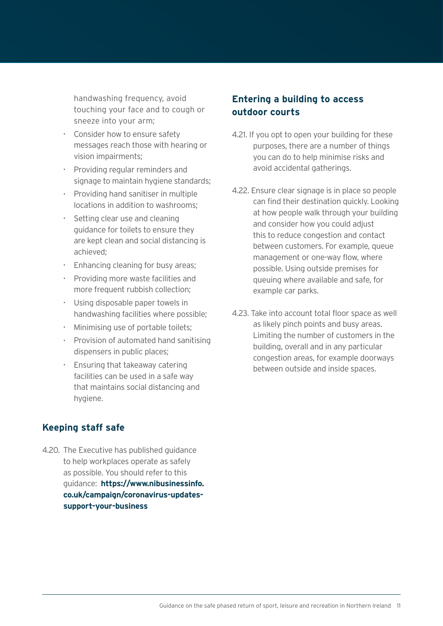<span id="page-10-0"></span>handwashing frequency, avoid touching your face and to cough or sneeze into your arm;

- Consider how to ensure safety messages reach those with hearing or vision impairments;
- Providing regular reminders and signage to maintain hygiene standards;
- Providing hand sanitiser in multiple locations in addition to washrooms;
- Setting clear use and cleaning guidance for toilets to ensure they are kept clean and social distancing is achieved;
- Enhancing cleaning for busy areas;
- Providing more waste facilities and more frequent rubbish collection;
- Using disposable paper towels in handwashing facilities where possible;
- Minimising use of portable toilets;
- Provision of automated hand sanitising dispensers in public places;
- Ensuring that takeaway catering facilities can be used in a safe way that maintains social distancing and hygiene.

### **Keeping staff safe**

4.20. The Executive has published guidance to help workplaces operate as safely as possible. You should refer to this guidance: **[https://www.nibusinessinfo.](https://www.nibusinessinfo.co.uk/campaign/coronavirus-updates-support-your-business) [co.uk/campaign/coronavirus-updates](https://www.nibusinessinfo.co.uk/campaign/coronavirus-updates-support-your-business)[support-your-business](https://www.nibusinessinfo.co.uk/campaign/coronavirus-updates-support-your-business)**

### **Entering a building to access outdoor courts**

- 4.21. If you opt to open your building for these purposes, there are a number of things you can do to help minimise risks and avoid accidental gatherings.
- 4.22. Ensure clear signage is in place so people can find their destination quickly. Looking at how people walk through your building and consider how you could adjust this to reduce congestion and contact between customers. For example, queue management or one-way flow, where possible. Using outside premises for queuing where available and safe, for example car parks.
- 4.23. Take into account total floor space as well as likely pinch points and busy areas. Limiting the number of customers in the building, overall and in any particular congestion areas, for example doorways between outside and inside spaces.